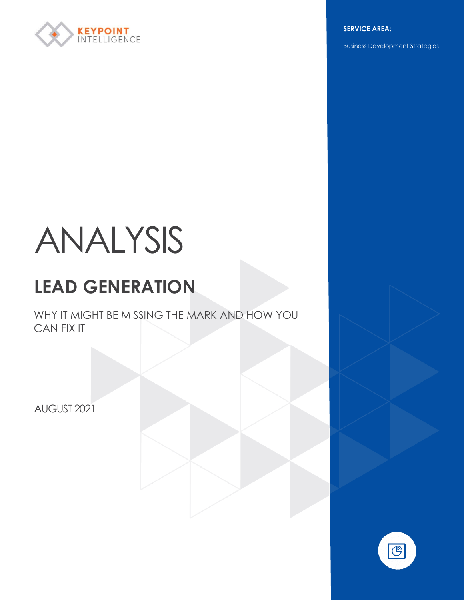

**SERVICE AREA:**

Business Development Strategies

# ANALYSIS

# **LEAD GENERATION**

WHY IT MIGHT BE MISSING THE MARK AND HOW YOU CAN FIX IT

AUGUST 2021

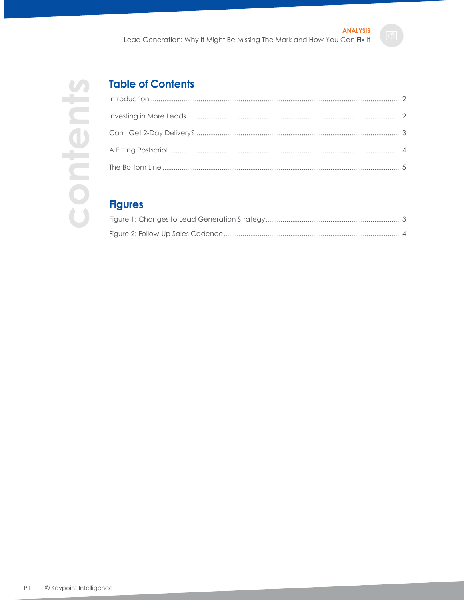

# **Table of Contents**

# **Figures**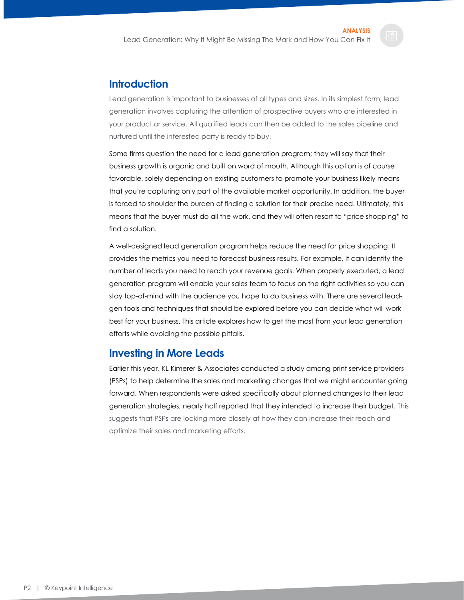# <span id="page-2-0"></span>**Introduction**

Lead generation is important to businesses of all types and sizes. In its simplest form, lead generation involves capturing the attention of prospective buyers who are interested in your product or service. All qualified leads can then be added to the sales pipeline and nurtured until the interested party is ready to buy.

Some firms question the need for a lead generation program; they will say that their business growth is organic and built on word of mouth. Although this option is of course favorable, solely depending on existing customers to promote your business likely means that you're capturing only part of the available market opportunity. In addition, the buyer is forced to shoulder the burden of finding a solution for their precise need. Ultimately, this means that the buyer must do all the work, and they will often resort to "price shopping" to find a solution.

A well-designed lead generation program helps reduce the need for price shopping. It provides the metrics you need to forecast business results. For example, it can identify the number of leads you need to reach your revenue goals. When properly executed, a lead generation program will enable your sales team to focus on the right activities so you can stay top-of-mind with the audience you hope to do business with. There are several leadgen tools and techniques that should be explored before you can decide what will work best for your business. This article explores how to get the most from your lead generation efforts while avoiding the possible pitfalls.

# <span id="page-2-1"></span>**Investing in More Leads**

Earlier this year, KL Kimerer & Associates conducted a study among print service providers (PSPs) to help determine the sales and marketing changes that we might encounter going forward. When respondents were asked specifically about planned changes to their lead generation strategies, nearly half reported that they intended to increase their budget. This suggests that PSPs are looking more closely at how they can increase their reach and optimize their sales and marketing efforts.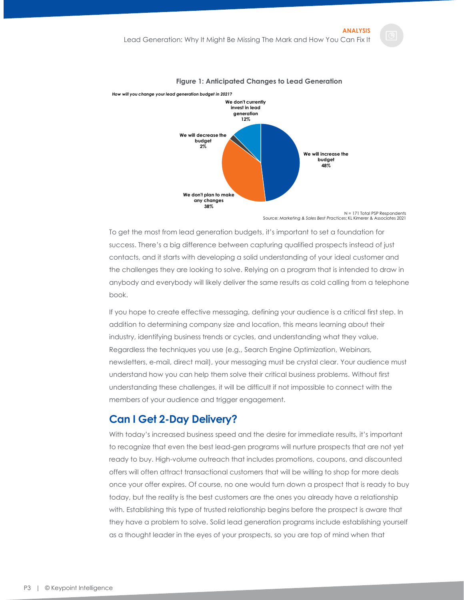<span id="page-3-1"></span>

#### **Figure 1: Anticipated Changes to Lead Generation**

Source: *Marketing & Sales Best Practices*; KL Kimerer & Associates 2021

To get the most from lead generation budgets, it's important to set a foundation for success. There's a big difference between capturing qualified prospects instead of just contacts, and it starts with developing a solid understanding of your ideal customer and the challenges they are looking to solve. Relying on a program that is intended to draw in anybody and everybody will likely deliver the same results as cold calling from a telephone book.

If you hope to create effective messaging, defining your audience is a critical first step. In addition to determining company size and location, this means learning about their industry, identifying business trends or cycles, and understanding what they value. Regardless the techniques you use (e.g., Search Engine Optimization, Webinars, newsletters, e-mail, direct mail), your messaging must be crystal clear. Your audience must understand how you can help them solve their critical business problems. Without first understanding these challenges, it will be difficult if not impossible to connect with the members of your audience and trigger engagement.

### <span id="page-3-0"></span>**Can I Get 2-Day Delivery?**

With today's increased business speed and the desire for immediate results, it's important to recognize that even the best lead-gen programs will nurture prospects that are not yet ready to buy. High-volume outreach that includes promotions, coupons, and discounted offers will often attract transactional customers that will be willing to shop for more deals once your offer expires. Of course, no one would turn down a prospect that is ready to buy today, but the reality is the best customers are the ones you already have a relationship with. Establishing this type of trusted relationship begins before the prospect is aware that they have a problem to solve. Solid lead generation programs include establishing yourself as a thought leader in the eyes of your prospects, so you are top of mind when that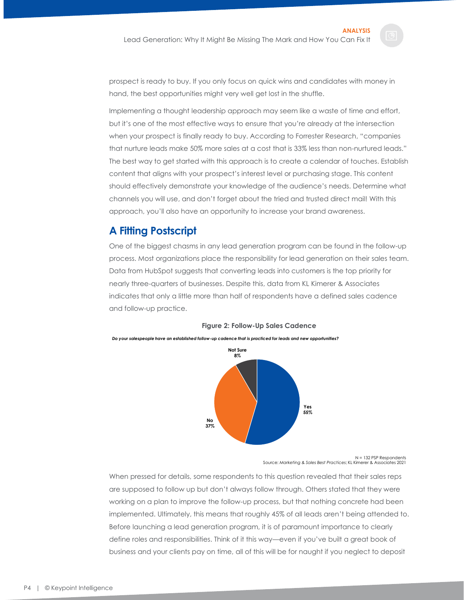prospect is ready to buy. If you only focus on quick wins and candidates with money in hand, the best opportunities might very well get lost in the shuffle.

Implementing a thought leadership approach may seem like a waste of time and effort, but it's one of the most effective ways to ensure that you're already at the intersection when your prospect is finally ready to buy. According to Forrester Research, "companies that nurture leads make 50% more sales at a cost that is 33% less than non-nurtured leads." The best way to get started with this approach is to create a calendar of touches. Establish content that aligns with your prospect's interest level or purchasing stage. This content should effectively demonstrate your knowledge of the audience's needs. Determine what channels you will use, and don't forget about the tried and trusted direct mail! With this approach, you'll also have an opportunity to increase your brand awareness.

# <span id="page-4-0"></span>**A Fitting Postscript**

One of the biggest chasms in any lead generation program can be found in the follow-up process. Most organizations place the responsibility for lead generation on their sales team. Data from HubSpot suggests that converting leads into customers is the top priority for nearly three-quarters of businesses. Despite this, data from KL Kimerer & Associates indicates that only a little more than half of respondents have a defined sales cadence and follow-up practice.

<span id="page-4-1"></span>

#### **Figure 2: Follow-Up Sales Cadence**

N = 132 PSP Respondents Source: *Marketing & Sales Best Practices*; KL Kimerer & Associates 2021

When pressed for details, some respondents to this question revealed that their sales reps are supposed to follow up but don't always follow through. Others stated that they were working on a plan to improve the follow-up process, but that nothing concrete had been implemented. Ultimately, this means that roughly 45% of all leads aren't being attended to. Before launching a lead generation program, it is of paramount importance to clearly define roles and responsibilities. Think of it this way—even if you've built a great book of business and your clients pay on time, all of this will be for naught if you neglect to deposit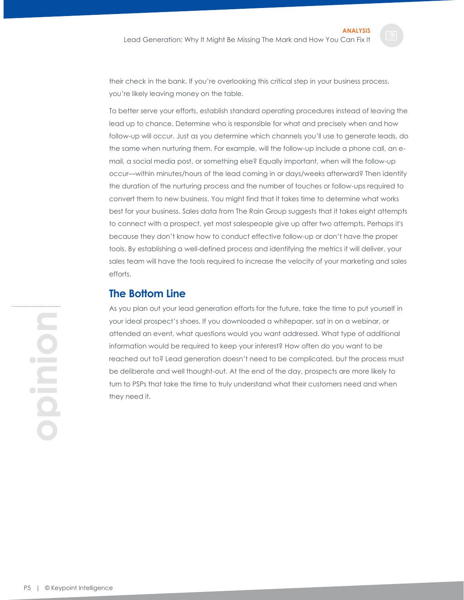their check in the bank. If you're overlooking this critical step in your business process, you're likely leaving money on the table.

To better serve your efforts, establish standard operating procedures instead of leaving the lead up to chance. Determine who is responsible for what and precisely when and how follow-up will occur. Just as you determine which channels you'll use to generate leads, do the same when nurturing them. For example, will the follow-up include a phone call, an email, a social media post, or something else? Equally important, when will the follow-up occur—within minutes/hours of the lead coming in or days/weeks afterward? Then identify the duration of the nurturing process and the number of touches or follow-ups required to convert them to new business. You might find that it takes time to determine what works best for your business. Sales data from The Rain Group suggests that it takes eight attempts to connect with a prospect, yet most salespeople give up after two attempts. Perhaps it's because they don't know how to conduct effective follow-up or don't have the proper tools. By establishing a well-defined process and identifying the metrics it will deliver, your sales team will have the tools required to increase the velocity of your marketing and sales efforts.

# <span id="page-5-0"></span>**The Bottom Line**

As you plan out your lead generation efforts for the future, take the time to put yourself in your ideal prospect's shoes. If you downloaded a whitepaper, sat in on a webinar, or attended an event, what questions would you want addressed. What type of additional information would be required to keep your interest? How often do you want to be reached out to? Lead generation doesn't need to be complicated, but the process must be deliberate and well thought-out. At the end of the day, prospects are more likely to turn to PSPs that take the time to truly understand what their customers need and when they need it.